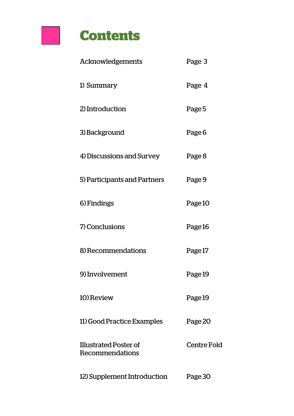

| Acknowledgements                         | Page 3      |
|------------------------------------------|-------------|
| 1) Summary                               | Page 4      |
| 2) Introduction                          | Page 5      |
| 3) Background                            | Page 6      |
| 4) Discussions and Survey                | Page 8      |
| 5) Participants and Partners             | Page 9      |
| 6) Findings                              | Page 10     |
| 7) Conclusions                           | Page 16     |
| 8) Recommendations                       | Page 17     |
| 9) Involvement                           | Page 19     |
| 10) Review                               | Page 19     |
| 11) Good Practice Examples               | Page 20     |
| Illustrated Poster of<br>Recommendations | Centre Fold |
| 12) Supplement Introduction              | Page 30     |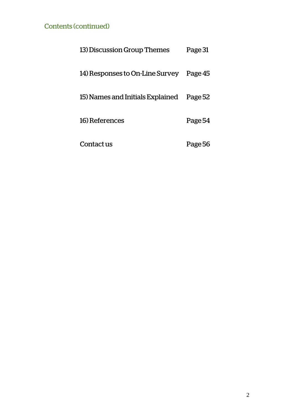#### Contents (continued)

| 13) Discussion Group Themes      | Page 31 |
|----------------------------------|---------|
| 14) Responses to On-Line Survey  | Page 45 |
| 15) Names and Initials Explained | Page 52 |
| 16) References                   | Page 54 |
| Contact us                       | Page 56 |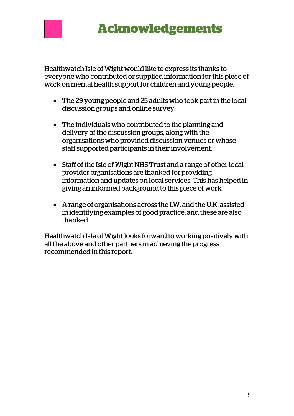

## **Acknowledgements**

Healthwatch Isle of Wight would like to express its thanks to everyone who contributed or supplied information for this piece of work on mental health support for children and young people.

- The 29 young people and 25 adults who took part in the local discussion groups and online survey
- The individuals who contributed to the planning and delivery of the discussion groups, along with the organisations who provided discussion venues or whose staff supported participants in their involvement.
- Staff of the Isle of Wight NHS Trust and a range of other local provider organisations are thanked for providing information and updates on local services. This has helped in giving an informed background to this piece of work.
- A range of organisations across the I.W. and the U.K. assisted in identifying examples of good practice, and these are also thanked.

Healthwatch Isle of Wight looks forward to working positively with all the above and other partners in achieving the progress recommended in this report.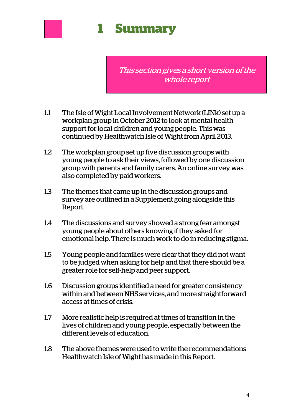

# **1 Summary**

This section gives a short version of the whole report

- 1.1 The Isle of Wight Local Involvement Network (LINk) set up a workplan group in October 2012 to look at mental health support for local children and young people. This was continued by Healthwatch Isle of Wight from April 2013.
- 1.2 The workplan group set up five discussion groups with young people to ask their views, followed by one discussion group with parents and family carers. An online survey was also completed by paid workers.
- 1.3 The themes that came up in the discussion groups and survey are outlined in a Supplement going alongside this Report.
- 1.4 The discussions and survey showed a strong fear amongst young people about others knowing if they asked for emotional help. There is much work to do in reducing stigma.
- 1.5 Young people and families were clear that they did not want to be judged when asking for help and that there should be a greater role for self-help and peer support.
- 1.6 Discussion groups identified a need for greater consistency within and between NHS services, and more straightforward access at times of crisis.
- 1.7 More realistic help is required at times of transition in the lives of children and young people, especially between the different levels of education.
- 1.8 The above themes were used to write the recommendations Healthwatch Isle of Wight has made in this Report.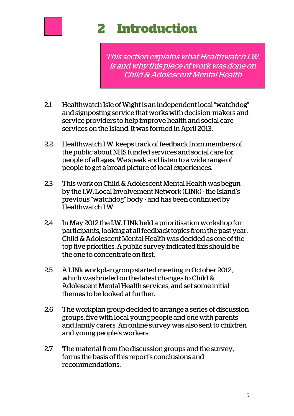

# **1 2 Introduction**

This section explains what Healthwatch I.W. is and why this piece of work was done on Child & Adolescent Mental Health

- 2.1 Healthwatch Isle of Wight is an independent local "watchdog" and signposting service that works with decision-makers and service providers to help improve health and social care services on the Island. It was formed in April 2013.
- 2.2 Healthwatch I.W. keeps track of feedback from members of the public about NHS funded services and social care for people of all ages. We speak and listen to a wide range of people to get a broad picture of local experiences.
- 2.3 This work on Child & Adolescent Mental Health was begun by the I.W. Local Involvement Network (LINk) - the Island's previous "watchdog" body - and has been continued by Healthwatch I.W.
- 2.4 In May 2012 the I.W. LINk held a prioritisation workshop for participants, looking at all feedback topics from the past year. Child & Adolescent Mental Health was decided as one of the top five priorities. A public survey indicated this should be the one to concentrate on first.
- 2.5 A LINk workplan group started meeting in October 2012, which was briefed on the latest changes to Child & Adolescent Mental Health services, and set some initial themes to be looked at further.
- 2.6 The workplan group decided to arrange a series of discussion groups, five with local young people and one with parents and family carers. An online survey was also sent to children and young people's workers.
- 2.7 The material from the discussion groups and the survey, forms the basis of this report's conclusions and recommendations.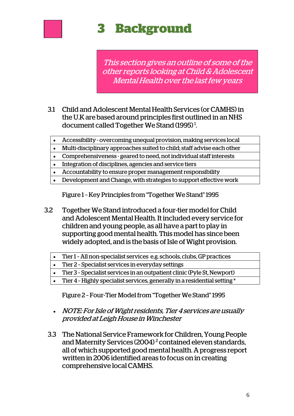

# **3 3 Background**

This section gives an outline of some of the other reports looking at Child & Adolescent Mental Health over the last few years

- 3.1 Child and Adolescent Mental Health Services (or CAMHS) in the U.K are based around principles first outlined in an NHS document called Together We Stand (1995)<sup>1</sup>.
	- Accessibility overcoming unequal provision, making services local
	- Multi-disciplinary approaches suited to child; staff advise each other
	- Comprehensiveness geared to need, not individual staff interests
	- Integration of disciplines, agencies and service tiers
	- Accountability to ensure proper management responsibility
	- Development and Change, with strategies to support effective work

Figure 1 – Key Principles from "Together We Stand" 1995

- 3.2 Together We Stand introduced a four-tier model for Child and Adolescent Mental Health. It included every service for children and young people, as all have a part to play in supporting good mental health. This model has since been widely adopted, and is the basis of Isle of Wight provision.
	- Tier 1 All non-specialist services e.g. schools, clubs, GP practices Tier 2 – Specialist services in everyday settings Tier 3 – Specialist services in an outpatient clinic (Pyle St, Newport) Tier 4 – Highly specialist services, generally in a residential setting \*

Figure 2 – Four-Tier Model from "Together We Stand" 1995

- NOTE: For Isle of Wight residents, Tier 4 services are usually provided at Leigh House in Winchester
- 3.3 The National Service Framework for Children, Young People and Maternity Services (2004) $^2$  contained eleven standards, all of which supported good mental health. A progress report wwritten in 2006 identified areas to focus on in creating comprehensive local CAMHS.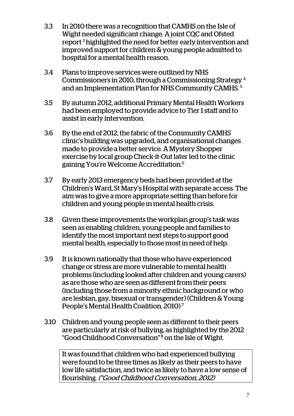- 3.3 In 2010 there was a recognition that CAMHS on the Isle of Wight needed significant change. A joint CQC and Ofsted report<sup>3</sup> highlighted the need for better early intervention and improved support for children & young people admitted to hospital for a mental health reason.
- 3.4 Plans to improve services were outlined by NHS Commissioners in 2010, through a Commissioning Strategy 4 and an Implementation Plan for NHS Community CAMHS. 5
- 3.5 By autumn 2012, additional Primary Mental Health Workers had been employed to provide advice to Tier 1 staff and to assist in early intervention.
- 3.6 By the end of 2012, the fabric of the Community CAMHS clinic's building was upgraded, and organisational changes made to provide a better service. A Mystery Shopper exercise by local group Check-it-Out later led to the clinic gaining You're Welcome Accreditation.6
- 3.7 By early 2013 emergency beds had been provided at the Children's Ward, St Mary's Hospital with separate access. The aim was to give a more appropriate setting than before for children and young people in mental health crisis.
- 3.8 Given these improvements the workplan group's task was seen as enabling children, young people and families to identify the most important next steps to support good mental health, especially to those most in need of help.
- 3.9 It is known nationally that those who have experienced change or stress are more vulnerable to mental health problems (including looked after children and young carers) as are those who are seen as different from their peers (including those from a minority ethnic background or who are lesbian, gay, bisexual or transgender) (Children & Young People's Mental Health Coalition, 2010) 7
- 3.10 Children and young people seen as different to their peers are particularly at risk of bullying, as highlighted by the 2012 "Good Childhood Conversation" 8 on the Isle of Wight.

It was found that children who had experienced bullying were found to be three times as likely as their peers to have low life satisfaction, and twice as likely to have a low sense of flourishing. ("Good Childhood Conversation, 2012)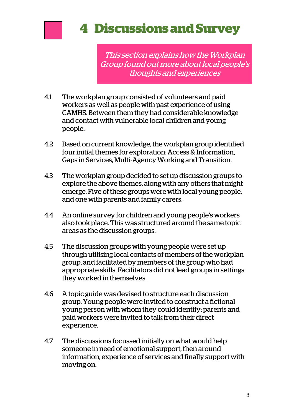

# **4 Discussions and Survey**

This section explains how the Workplan Group found out more about local people's thoughts and experiences

- 4.1 The workplan group consisted of volunteers and paid workers as well as people with past experience of using CAMHS. Between them they had considerable knowledge and contact with vulnerable local children and young people.
- 4.2 Based on current knowledge, the workplan group identified four initial themes for exploration: Access & Information, Gaps in Services, Multi-Agency Working and Transition.
- 4.3 The workplan group decided to set up discussion groups to explore the above themes, along with any others that might emerge. Five of these groups were with local young people, and one with parents and family carers.
- 4.4 An online survey for children and young people's workers also took place. This was structured around the same topic areas as the discussion groups.
- 4.5 The discussion groups with young people were set up through utilising local contacts of members of the workplan group, and facilitated by members of the group who had appropriate skills. Facilitators did not lead groups in settings they worked in themselves.
- 4.6 A topic guide was devised to structure each discussion group. Young people were invited to construct a fictional young person with whom they could identify; parents and paid workers were invited to talk from their direct experience.
- 4.7 The discussions focussed initially on what would help someone in need of emotional support, then around information, experience of services and finally support with moving on.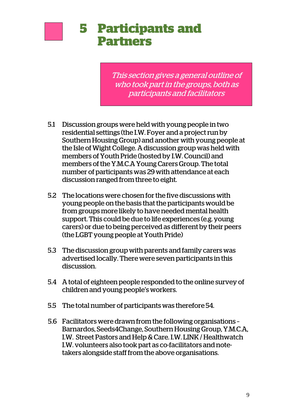

## **5 Participants and Partners**

This section gives a general outline of who took part in the groups, both as participants and facilitators

- 5.1 Discussion groups were held with young people in two residential settings (the I.W. Foyer and a project run by Southern Housing Group) and another with young people at the Isle of Wight College. A discussion group was held with members of Youth Pride (hosted by I.W. Council) and members of the Y.M.C.A Young Carers Group. The total number of participants was 29 with attendance at each discussion ranged from three to eight.
- 5.2 The locations were chosen for the five discussions with young people on the basis that the participants would be from groups more likely to have needed mental health support. This could be due to life experiences (e.g. young carers) or due to being perceived as different by their peers (the LGBT young people at Youth Pride)
- 5.3 The discussion group with parents and family carers was advertised locally. There were seven participants in this discussion.
- 5.4 A total of eighteen people responded to the online survey of children and young people's workers.
- 5.5 The total number of participants was therefore 54.
- 5.6 Facilitators were drawn from the following organisations Barnardos, Seeds4Change, Southern Housing Group, Y.M.C.A, I.W. Street Pastors and Help & Care. I.W. LINK / Healthwatch I.W. volunteers also took part as co-facilitators and notetakers alongside staff from the above organisations.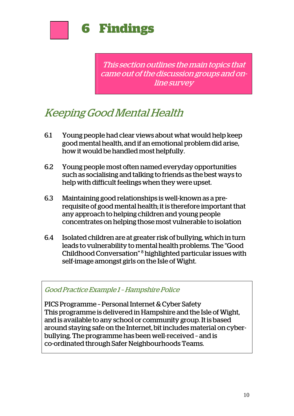

This section outlines the main topics that came out of the discussion groups and online survey

### Keeping Good Mental Health

- 6.1 Young people had clear views about what would help keep good mental health, and if an emotional problem did arise, how it would be handled most helpfully.
- 6.2 Young people most often named everyday opportunities such as socialising and talking to friends as the best ways to help with difficult feelings when they were upset.
- 6.3 Maintaining good relationships is well-known as a prerequisite of good mental health; it is therefore important that any approach to helping children and young people concentrates on helping those most vulnerable to isolation
- 6.4 Isolated children are at greater risk of bullying, which in turn leads to vulnerability to mental health problems. The "Good Childhood Conversation" 8 highlighted particular issues with self-image amongst girls on the Isle of Wight.

#### Good Practice Example 1 – Hampshire Police

PICS Programme – Personal Internet & Cyber Safety This programme is delivered in Hampshire and the Isle of Wight, and is available to any school or community group. It is based around staying safe on the Internet, bit includes material on cyberbullying. The programme has been well-received – and is co-ordinated through Safer Neighbourhoods Teams.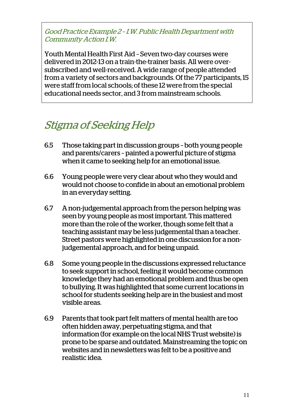Good Practice Example 2 – I.W. Public Health Department with Community Action I.W.

Youth Mental Health First Aid – Seven two-day courses were delivered in 2012-13 on a train-the-trainer basis. All were oversubscribed and well-received. A wide range of people attended from a variety of sectors and backgrounds. Of the 77 participants, 15 were staff from local schools; of these 12 were from the special educational needs sector, and 3 from mainstream schools.

### Stigma of Seeking Help

- 6.5 Those taking part in discussion groups both young people and parents/carers – painted a powerful picture of stigma when it came to seeking help for an emotional issue.
- 6.6 Young people were very clear about who they would and would not choose to confide in about an emotional problem in an everyday setting.
- 6.7 A non-judgemental approach from the person helping was seen by young people as most important. This mattered more than the role of the worker, though some felt that a teaching assistant may be less judgemental than a teacher. Street pastors were highlighted in one discussion for a nonjudgemental approach, and for being unpaid.
- 6.8 Some young people in the discussions expressed reluctance to seek support in school, feeling it would become common knowledge they had an emotional problem and thus be open to bullying. It was highlighted that some current locations in school for students seeking help are in the busiest and most visible areas.
- 6.9 Parents that took part felt matters of mental health are too often hidden away, perpetuating stigma, and that information (for example on the local NHS Trust website) is prone to be sparse and outdated. Mainstreaming the topic on websites and in newsletters was felt to be a positive and realistic idea.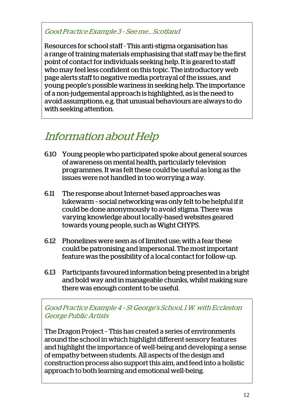#### Good Practice Example 3 – See me… Scotland

Resources for school staff - This anti-stigma organisation has a range of training materials emphasising that staff may be the first point of contact for individuals seeking help. It is geared to staff who may feel less confident on this topic. The introductory web page alerts staff to negative media portrayal of the issues, and young people's possible wariness in seeking help. The importance of a non-judgemental approach is highlighted, as is the need to avoid assumptions, e.g. that unusual behaviours are always to do with seeking attention.

### Information about Help

- 6.10 Young people who participated spoke about general sources of awareness on mental health, particularly television programmes. It was felt these could be useful as long as the issues were not handled in too worrying a way.
- 6.11 The response about Internet-based approaches was lukewarm – social networking was only felt to be helpful if it could be done anonymously to avoid stigma. There was varying knowledge about locally-based websites geared towards young people, such as Wight CHYPS.
- 6.12 Phonelines were seen as of limited use; with a fear these could be patronising and impersonal. The most important feature was the possibility of a local contact for follow-up.
- 6.13 Participants favoured information being presented in a bright and bold way and in manageable chunks, whilst making sure there was enough content to be useful.

Good Practice Example 4 – St George's School, I.W. with Eccleston George Public Artists

The Dragon Project – This has created a series of environments around the school in which highlight different sensory features and highlight the importance of well-being and developing a sense of empathy between students. All aspects of the design and construction process also support this aim, and feed into a holistic approach to both learning and emotional well-being.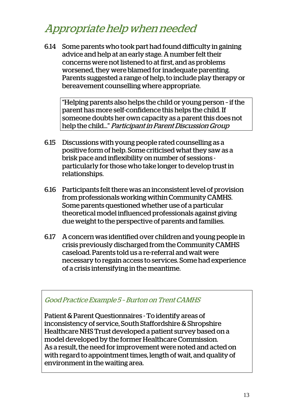### Appropriate help when needed

6.14 Some parents who took part had found difficulty in gaining advice and help at an early stage. A number felt their concerns were not listened to at first, and as problems worsened, they were blamed for inadequate parenting. Parents suggested a range of help, to include play therapy or bereavement counselling where appropriate.

"Helping parents also helps the child or young person – if the parent has more self-confidence this helps the child. If someone doubts her own capacity as a parent this does not help the child…" Participant in Parent Discussion Group

- 6.15 Discussions with young people rated counselling as a positive form of help. Some criticised what they saw as a brisk pace and inflexibility on number of sessions particularly for those who take longer to develop trust in relationships.
- 6.16 Participants felt there was an inconsistent level of provision from professionals working within Community CAMHS. Some parents questioned whether use of a particular theoretical model influenced professionals against giving due weight to the perspective of parents and families.
- 6.17 A concern was identified over children and young people in crisis previously discharged from the Community CAMHS caseload. Parents told us a re-referral and wait were necessary to regain access to services. Some had experience of a crisis intensifying in the meantime.

#### Good Practice Example 5 – Burton on Trent CAMHS

Patient & Parent Questionnaires - To identify areas of inconsistency of service, South Staffordshire & Shropshire Healthcare NHS Trust developed a patient survey based on a model developed by the former Healthcare Commission. As a result, the need for improvement were noted and acted on with regard to appointment times, length of wait, and quality of environment in the waiting area.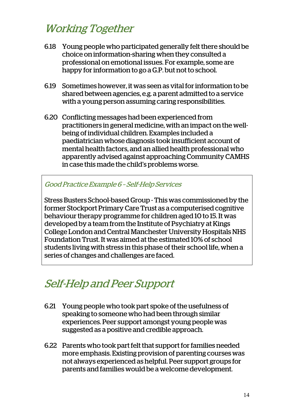### Working Together

- 6.18 Young people who participated generally felt there should be choice on information-sharing when they consulted a professional on emotional issues. For example, some are happy for information to go a G.P. but not to school.
- 6.19 Sometimes however, it was seen as vital for information to be shared between agencies, e.g. a parent admitted to a service with a young person assuming caring responsibilities.
- 6.20 Conflicting messages had been experienced from practitioners in general medicine, with an impact on the wellbeing of individual children. Examples included a paediatrician whose diagnosis took insufficient account of mental health factors, and an allied health professional who apparently advised against approaching Community CAMHS in case this made the child's problems worse.

#### Good Practice Example 6 – Self-Help Services

Stress Busters School-based Group - This was commissioned by the former Stockport Primary Care Trust as a computerised cognitive behaviour therapy programme for children aged 10 to 15. It was developed by a team from the Institute of Psychiatry at Kings College London and Central Manchester University Hospitals NHS Foundation Trust. It was aimed at the estimated 10% of school students living with stress in this phase of their school life, when a series of changes and challenges are faced.

### Self-Help and Peer Support

- 6.21 Young people who took part spoke of the usefulness of speaking to someone who had been through similar experiences. Peer support amongst young people was suggested as a positive and credible approach.
- 6.22 Parents who took part felt that support for families needed more emphasis. Existing provision of parenting courses was not always experienced as helpful. Peer support groups for parents and families would be a welcome development.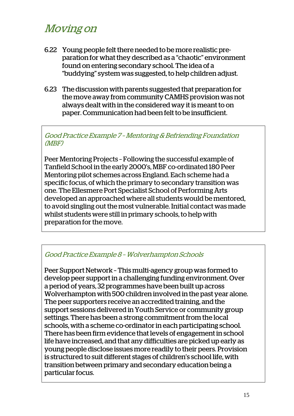### Moving on

- 6.22 Young people felt there needed to be more realistic preparation for what they described as a "chaotic" environment found on entering secondary school. The idea of a "buddying" system was suggested, to help children adjust.
- 6.23 The discussion with parents suggested that preparation for the move away from community CAMHS provision was not always dealt with in the considered way it is meant to on paper. Communication had been felt to be insufficient.

Good Practice Example 7 – Mentoring & Befriending Foundation (MBF)

Peer Mentoring Projects – Following the successful example of Tanfield School in the early 2000's, MBF co-ordinated 180 Peer Mentoring pilot schemes across England. Each scheme had a specific focus, of which the primary to secondary transition was one. The Ellesmere Port Specialist School of Performing Arts developed an approached where all students would be mentored, to avoid singling out the most vulnerable. Initial contact was made whilst students were still in primary schools, to help with preparation for the move.

#### Good Practice Example 8 – Wolverhampton Schools

Peer Support Network – This multi-agency group was formed to develop peer support in a challenging funding environment. Over a period of years, 32 programmes have been built up across Wolverhampton with 500 children involved in the past year alone. The peer supporters receive an accredited training, and the support sessions delivered in Youth Service or community group settings. There has been a strong commitment from the local schools, with a scheme co-ordinator in each participating school. There has been firm evidence that levels of engagement in school life have increased, and that any difficulties are picked up early as young people disclose issues more readily to their peers. Provision is structured to suit different stages of children's school life, with transition between primary and secondary education being a particular focus.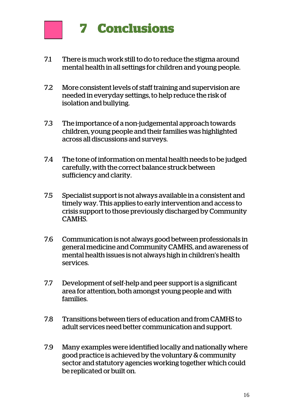

- 7.1 There is much work still to do to reduce the stigma around mental health in all settings for children and young people.
- 7.2 More consistent levels of staff training and supervision are needed in everyday settings, to help reduce the risk of isolation and bullying.
- 7.3 The importance of a non-judgemental approach towards children, young people and their families was highlighted across all discussions and surveys.
- 7.4 The tone of information on mental health needs to be judged carefully, with the correct balance struck between sufficiency and clarity.
- 7.5 Specialist support is not always available in a consistent and timely way. This applies to early intervention and access to crisis support to those previously discharged by Community CAMHS.
- 7.6 Communication is not always good between professionals in general medicine and Community CAMHS, and awareness of mental health issues is not always high in children's health services.
- 7.7 Development of self-help and peer support is a significant area for attention, both amongst young people and with families.
- 7.8 Transitions between tiers of education and from CAMHS to adult services need better communication and support.
- 7.9 Many examples were identified locally and nationally where good practice is achieved by the voluntary & community sector and statutory agencies working together which could be replicated or built on.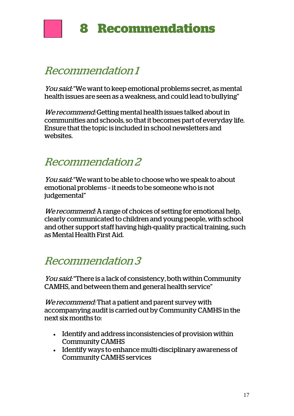

### Recommendation 1

You said: "We want to keep emotional problems secret, as mental health issues are seen as a weakness, and could lead to bullying"

We recommend: Getting mental health issues talked about in communities and schools, so that it becomes part of everyday life. Ensure that the topic is included in school newsletters and websites.

### Recommendation 2

You said: "We want to be able to choose who we speak to about emotional problems – it needs to be someone who is not judgemental"

We recommend: A range of choices of setting for emotional help, clearly communicated to children and young people, with school and other support staff having high-quality practical training, such as Mental Health First Aid.

### Recommendation 3

You said: "There is a lack of consistency, both within Community CAMHS, and between them and general health service"

We recommend: That a patient and parent survey with accompanying audit is carried out by Community CAMHS in the next six months to:

- Identify and address inconsistencies of provision within Community CAMHS
- Identify ways to enhance multi-disciplinary awareness of Community CAMHS services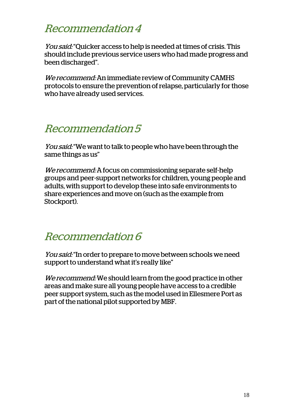### Recommendation 4

You said: "Quicker access to help is needed at times of crisis. This should include previous service users who had made progress and been discharged".

We recommend: An immediate review of Community CAMHS protocols to ensure the prevention of relapse, particularly for those who have already used services.

### Recommendation 5

You said: "We want to talk to people who have been through the same things as us"

We recommend: A focus on commissioning separate self-help groups and peer-support networks for children, young people and adults, with support to develop these into safe environments to share experiences and move on (such as the example from Stockport).

### Recommendation 6

You said: "In order to prepare to move between schools we need support to understand what it's really like"

We recommend: We should learn from the good practice in other areas and make sure all young people have access to a credible peer support system, such as the model used in Ellesmere Port as part of the national pilot supported by MBF.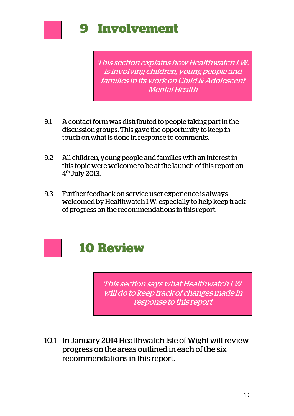

This section explains how Healthwatch I.W. is involving children, young people and families in its work on Child & Adolescent Mental Health

- 9.1 A contact form was distributed to people taking part in the discussion groups. This gave the opportunity to keep in touch on what is done in response to comments.
- 9.2 All children, young people and families with an interest in this topic were welcome to be at the launch of this report on 4th July 2013.
- 9.3 Further feedback on service user experience is always welcomed by Healthwatch I.W. especially to help keep track of progress on the recommendations in this report.



This section says what Healthwatch I.W. will do to keep track of changes made in response to this report

10.1 In January 2014 Healthwatch Isle of Wight will review progress on the areas outlined in each of the six recommendations in this report.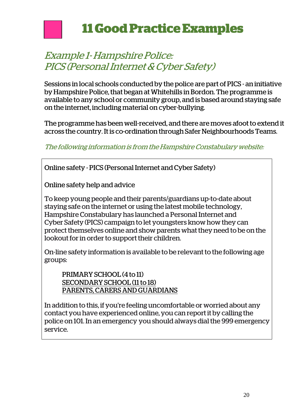

### Example 1- Hampshire Police: PICS (Personal Internet & Cyber Safety)

Sessions in local schools conducted by the police are part of PICS - an initiative by Hampshire Police, that began at Whitehills in Bordon. The programme is available to any school or community group, and is based around staying safe on the internet, including material on cyber-bullying.

The programme has been well-received, and there are moves afoot to extend it across the country. It is co-ordination through Safer Neighbourhoods Teams.

#### The following information is from the Hampshire Constabulary website:

Online safety - PICS (Personal Internet and Cyber Safety)

Online safety help and advice

To keep young people and their parents/guardians up-to-date about staying safe on the internet or using the latest mobile technology, Hampshire Constabulary has launched a Personal Internet and Cyber Safety (PICS) campaign to let youngsters know how they can protect themselves online and show parents what they need to be on the lookout for in order to support their children.

On-line safety information is available to be relevant to the following age groups:

PRIMARY SCHOOL (4 to 11) SECONDARY SCHOOL (11 to 18) PARENTS, CARERS AND GUARDIANS

In addition to this, if you're feeling uncomfortable or worried about any contact you have experienced online, you can report it by calling the police on 101. In an emergency you should always dial the 999 emergency service.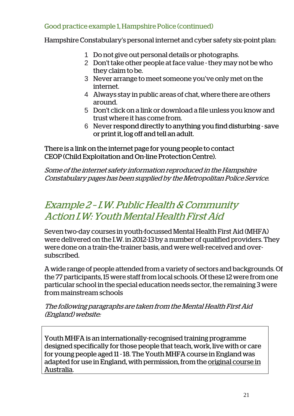#### Good practice example 1, Hampshire Police (continued)

Hampshire Constabulary's personal internet and cyber safety six-point plan:

- 1 Do not give out personal details or photographs.
- 2 Don't take other people at face value they may not be who they claim to be.
- 3 Never arrange to meet someone you've only met on the internet.
- 4 Always stay in public areas of chat, where there are others around.
- 5 Don't click on a link or download a file unless you know and trust where it has come from.
- 6 Never respond directly to anything you find disturbing save or print it, log off and tell an adult.

There is a link on the internet page for young people to contact CEOP (Child Exploitation and On-line Protection Centre).

Some of the internet safety information reproduced in the Hampshire Constabulary pages has been supplied by the Metropolitan Police Service.

### Example 2 – I.W. Public Health & Community Action I.W: Youth Mental Health First Aid

Seven two-day courses in youth-focussed Mental Health First Aid (MHFA) were delivered on the I.W. in 2012-13 by a number of qualified providers. They were done on a train-the-trainer basis, and were well-received and oversubscribed.

A wide range of people attended from a variety of sectors and backgrounds. Of the 77 participants, 15 were staff from local schools. Of these 12 were from one particular school in the special education needs sector, the remaining 3 were from mainstream schools

The following paragraphs are taken from the Mental Health First Aid (England) website:

Youth MHFA is an internationally-recognised training programme designed specifically for those people that teach, work, live with or care for young people aged 11 - 18. The Youth MHFA course in England was adapted for use in England, with permission, from the original course in Australia.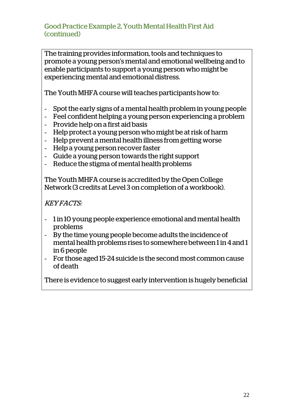Good Practice Example 2, Youth Mental Health First Aid (continued)

The training provides information, tools and techniques to promote a young person's mental and emotional wellbeing and to enable participants to support a young person who might be experiencing mental and emotional distress.

The Youth MHFA course will teaches participants how to:

- Spot the early signs of a mental health problem in young people
- Feel confident helping a young person experiencing a problem
- Provide help on a first aid basis
- Help protect a young person who might be at risk of harm
- Help prevent a mental health illness from getting worse
- Help a young person recover faster
- Guide a young person towards the right support
- Reduce the stigma of mental health problems

The Youth MHFA course is accredited by the Open College Network (3 credits at Level 3 on completion of a workbook).

KEY FACTS:

- 1 in 10 young people experience emotional and mental health problems
- By the time young people become adults the incidence of mental health problems rises to somewhere between 1 in 4 and 1 in 6 people
- For those aged 15-24 suicide is the second most common cause of death

There is evidence to suggest early intervention is hugely beneficial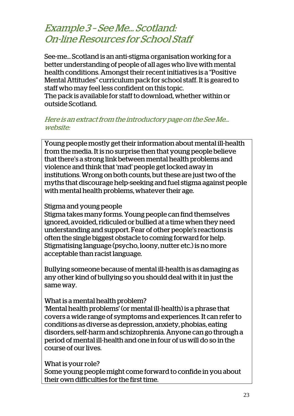### Example 3 – See Me… Scotland: On-line Resources for School Staff

See-me… Scotland is an anti-stigma organisation working for a better understanding of people of all ages who live with mental health conditions. Amongst their recent initiatives is a "Positive Mental Attitudes" curriculum pack for school staff. It is geared to staff who may feel less confident on this topic.

The pack is available for staff to download, whether within or outside Scotland.

#### Here is an extract from the introductory page on the See Me… website:

Young people mostly get their information about mental ill-health from the media. It is no surprise then that young people believe that there's a strong link between mental health problems and violence and think that 'mad' people get locked away in institutions. Wrong on both counts, but these are just two of the myths that discourage help-seeking and fuel stigma against people with mental health problems, whatever their age.

#### Stigma and young people

Stigma takes many forms. Young people can find themselves ignored, avoided, ridiculed or bullied at a time when they need understanding and support. Fear of other people's reactions is often the single biggest obstacle to coming forward for help. Stigmatising language (psycho, loony, nutter etc.) is no more acceptable than racist language.

Bullying someone because of mental ill-health is as damaging as any other kind of bullying so you should deal with it in just the same way.

#### What is a mental health problem?

'Mental health problems' (or mental ill-health) is a phrase that covers a wide range of symptoms and experiences. It can refer to conditions as diverse as depression, anxiety, phobias, eating disorders, self-harm and schizophrenia. Anyone can go through a period of mental ill-health and one in four of us will do so in the course of our lives.

#### What is your role?

Some young people might come forward to confide in you about their own difficulties for the first time.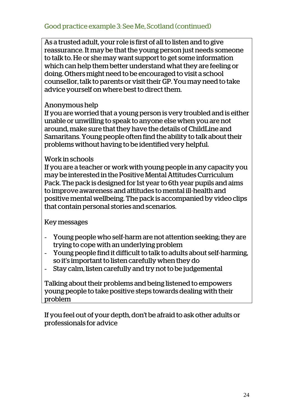As a trusted adult, your role is first of all to listen and to give reassurance. It may be that the young person just needs someone to talk to. He or she may want support to get some information which can help them better understand what they are feeling or doing. Others might need to be encouraged to visit a school counsellor, talk to parents or visit their GP. You may need to take advice yourself on where best to direct them.

#### Anonymous help

If you are worried that a young person is very troubled and is either unable or unwilling to speak to anyone else when you are not around, make sure that they have the details of ChildLine and Samaritans. Young people often find the ability to talk about their problems without having to be identified very helpful.

#### Work in schools

If you are a teacher or work with young people in any capacity you may be interested in the Positive Mental Attitudes Curriculum Pack. The pack is designed for 1st year to 6th year pupils and aims to improve awareness and attitudes to mental ill-health and positive mental wellbeing. The pack is accompanied by video clips that contain personal stories and scenarios.

Key messages

- Young people who self-harm are not attention seeking; they are trying to cope with an underlying problem
- Young people find it difficult to talk to adults about self-harming, so it's important to listen carefully when they do
- Stay calm, listen carefully and try not to be judgemental

Talking about their problems and being listened to empowers young people to take positive steps towards dealing with their problem

If you feel out of your depth, don't be afraid to ask other adults or professionals for advice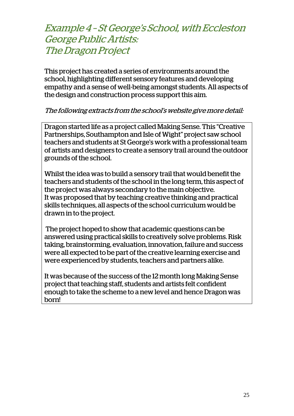### Example 4 – St George's School, with Eccleston George Public Artists: The Dragon Project

This project has created a series of environments around the school, highlighting different sensory features and developing empathy and a sense of well-being amongst students. All aspects of the design and construction process support this aim.

#### The following extracts from the school's website give more detail:

Dragon started life as a project called Making Sense. This "Creative Partnerships, Southampton and Isle of Wight" project saw school teachers and students at St George's work with a professional team of artists and designers to create a sensory trail around the outdoor grounds of the school.

Whilst the idea was to build a sensory trail that would benefit the teachers and students of the school in the long term, this aspect of the project was always secondary to the main objective. It was proposed that by teaching creative thinking and practical skills techniques, all aspects of the school curriculum would be drawn in to the project.

 The project hoped to show that academic questions can be answered using practical skills to creatively solve problems. Risk taking, brainstorming, evaluation, innovation, failure and success were all expected to be part of the creative learning exercise and were experienced by students, teachers and partners alike.

It was because of the success of the 12 month long Making Sense project that teaching staff, students and artists felt confident enough to take the scheme to a new level and hence Dragon was born!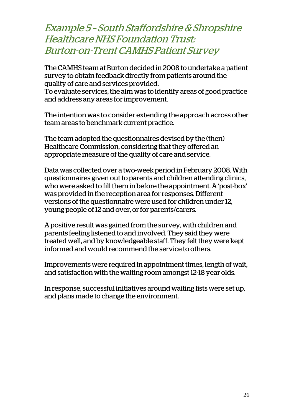### Example 5 – South Staffordshire & Shropshire Healthcare NHS Foundation Trust: Burton-on-Trent CAMHS Patient Survey

The CAMHS team at Burton decided in 2008 to undertake a patient survey to obtain feedback directly from patients around the quality of care and services provided.

To evaluate services, the aim was to identify areas of good practice and address any areas for improvement.

The intention was to consider extending the approach across other team areas to benchmark current practice.

The team adopted the questionnaires devised by the (then) Healthcare Commission, considering that they offered an appropriate measure of the quality of care and service.

Data was collected over a two-week period in February 2008. With questionnaires given out to parents and children attending clinics, who were asked to fill them in before the appointment. A 'post-box' was provided in the reception area for responses. Different versions of the questionnaire were used for children under 12, young people of 12 and over, or for parents/carers.

A positive result was gained from the survey, with children and parents feeling listened to and involved. They said they were treated well, and by knowledgeable staff. They felt they were kept informed and would recommend the service to others.

Improvements were required in appointment times, length of wait, and satisfaction with the waiting room amongst 12-18 year olds.

In response, successful initiatives around waiting lists were set up, and plans made to change the environment.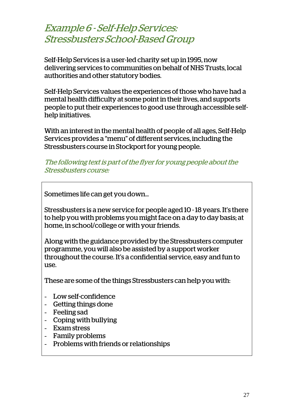### Example 6 - Self-Help Services: Stressbusters School-Based Group

Self-Help Services is a user-led charity set up in 1995, now delivering services to communities on behalf of NHS Trusts, local authorities and other statutory bodies.

Self-Help Services values the experiences of those who have had a mental health difficulty at some point in their lives, and supports people to put their experiences to good use through accessible selfhelp initiatives.

With an interest in the mental health of people of all ages, Self-Help Services provides a "menu" of different services, including the Stressbusters course in Stockport for young people.

#### The following text is part of the flyer for young people about the Stressbusters course:

Sometimes life can get you down…

Stressbusters is a new service for people aged 10 - 18 years. It's there to help you with problems you might face on a day to day basis; at home, in school/college or with your friends.

Along with the guidance provided by the Stressbusters computer programme, you will also be assisted by a support worker throughout the course. It's a confidential service, easy and fun to use.

These are some of the things Stressbusters can help you with:

- Low self-confidence
- Getting things done
- Feeling sad
- Coping with bullying
- Exam stress
- Family problems
- Problems with friends or relationships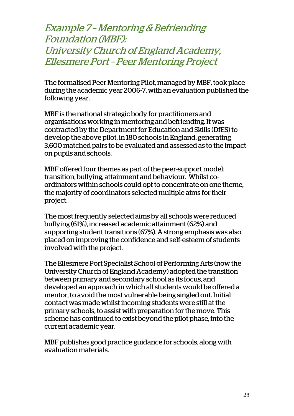Example 7 – Mentoring & Befriending Foundation (MBF): University Church of England Academy, Ellesmere Port – Peer Mentoring Project

The formalised Peer Mentoring Pilot, managed by MBF, took place during the academic year 2006-7, with an evaluation published the following year.

MBF is the national strategic body for practitioners and organisations working in mentoring and befriending. It was contracted by the Department for Education and Skills (DfES) to develop the above pilot, in 180 schools in England, generating 3,600 matched pairs to be evaluated and assessed as to the impact on pupils and schools.

MBF offered four themes as part of the peer-support model: transition, bullying, attainment and behaviour. Whilst coordinators within schools could opt to concentrate on one theme, the majority of coordinators selected multiple aims for their project.

The most frequently selected aims by all schools were reduced bullying (61%), increased academic attainment (62%) and supporting student transitions (67%). A strong emphasis was also placed on improving the confidence and self-esteem of students involved with the project.

The Ellesmere Port Specialist School of Performing Arts (now the University Church of England Academy) adopted the transition between primary and secondary school as its focus, and developed an approach in which all students would be offered a mentor, to avoid the most vulnerable being singled out. Initial contact was made whilst incoming students were still at the primary schools, to assist with preparation for the move. This scheme has continued to exist beyond the pilot phase, into the current academic year.

MBF publishes good practice guidance for schools, along with evaluation materials.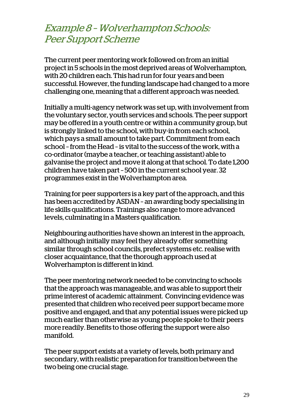### Example 8 – Wolverhampton Schools: Peer Support Scheme

The current peer mentoring work followed on from an initial project in 5 schools in the most deprived areas of Wolverhampton, with 20 children each. This had run for four years and been successful. However, the funding landscape had changed to a more challenging one, meaning that a different approach was needed.

Initially a multi-agency network was set up, with involvement from the voluntary sector, youth services and schools. The peer support may be offered in a youth centre or within a community group, but is strongly linked to the school, with buy-in from each school, which pays a small amount to take part. Commitment from each school – from the Head – is vital to the success of the work, with a co-ordinator (maybe a teacher, or teaching assistant) able to galvanise the project and move it along at that school. To date 1,200 children have taken part – 500 in the current school year. 32 programmes exist in the Wolverhampton area.

Training for peer supporters is a key part of the approach, and this has been accredited by ASDAN – an awarding body specialising in life skills qualifications. Trainings also range to more advanced levels, culminating in a Masters qualification.

Neighbouring authorities have shown an interest in the approach, and although initially may feel they already offer something similar through school councils, prefect systems etc. realise with closer acquaintance, that the thorough approach used at Wolverhampton is different in kind.

The peer mentoring network needed to be convincing to schools that the approach was manageable, and was able to support their prime interest of academic attainment. Convincing evidence was presented that children who received peer support became more positive and engaged, and that any potential issues were picked up much earlier than otherwise as young people spoke to their peers more readily. Benefits to those offering the support were also manifold.

The peer support exists at a variety of levels, both primary and secondary, with realistic preparation for transition between the two being one crucial stage.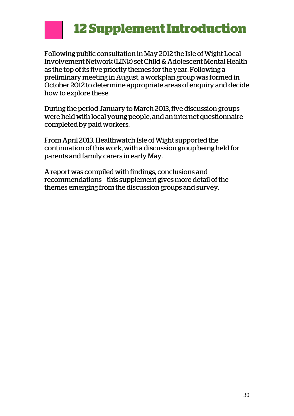# **12 Supplement Introduction**

Following public consultation in May 2012 the Isle of Wight Local Involvement Network (LINk) set Child & Adolescent Mental Health as the top of its five priority themes for the year. Following a preliminary meeting in August, a workplan group was formed in October 2012 to determine appropriate areas of enquiry and decide how to explore these.

During the period January to March 2013, five discussion groups were held with local young people, and an internet questionnaire completed by paid workers.

From April 2013, Healthwatch Isle of Wight supported the continuation of this work, with a discussion group being held for parents and family carers in early May.

A report was compiled with findings, conclusions and recommendations – this supplement gives more detail of the themes emerging from the discussion groups and survey.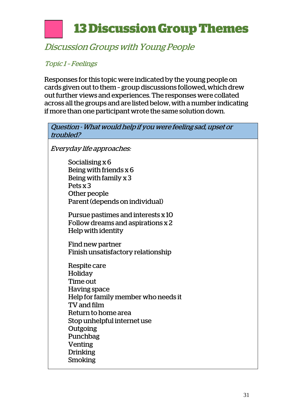# **13 Discussion Group Themes**

### Discussion Groups with Young People

#### Topic 1 – Feelings

Responses for this topic were indicated by the young people on cards given out to them – group discussions followed, which drew out further views and experiences. The responses were collated across all the groups and are listed below, with a number indicating if more than one participant wrote the same solution down.

| Question - What would help if you were feeling sad, upset or<br>troubled?                                                          |  |
|------------------------------------------------------------------------------------------------------------------------------------|--|
| Everyday life approaches:                                                                                                          |  |
| Socialising x 6<br>Being with friends $x$ 6<br>Being with family x 3<br>Pets x 3<br>Other people<br>Parent (depends on individual) |  |
| Pursue pastimes and interests x 10<br>Follow dreams and aspirations x 2<br>Help with identity                                      |  |
| Find new partner<br>Finish unsatisfactory relationship                                                                             |  |
| Respite care<br>Holiday<br>Time out<br><b>Having space</b><br>Help for family member who needs it<br>TV and film                   |  |
| Return to home area<br>Stop unhelpful internet use<br>Outgoing<br>Punchbag                                                         |  |
| <b>Venting</b><br><b>Drinking</b><br><b>Smoking</b>                                                                                |  |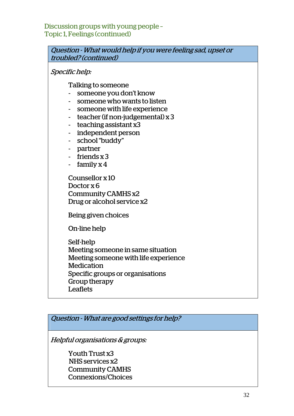Discussion groups with young people – Topic 1, Feelings (continued)

Question - What would help if you were feeling sad, upset or troubled? (continued) Specific help: Talking to someone - someone you don't know - someone who wants to listen - someone with life experience - teacher (if non-judgemental) x 3 - teaching assistant x3 - independent person - school "buddy" - partner - friends x 3 - family x 4 Counsellor x 10 Doctor x 6 Community CAMHS x2 Drug or alcohol service x2 Being given choices On-line help Self-help Meeting someone in same situation Meeting someone with life experience Medication Specific groups or organisations Group therapy Leaflets Question - What are good settings for help?

Helpful organisations & groups:

Youth Trust x3 NHS services x2 Community CAMHS Connexions/Choices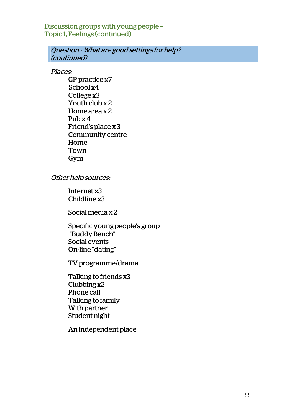#### Discussion groups with young people – Topic 1, Feelings (continued)

| Question - What are good settings for help? |
|---------------------------------------------|
| <i>(continued)</i>                          |

Places:

GP practice x7 School x4 College x3 Youth club x 2 Home area x 2 Pub x 4 Friend's place x 3 Community centre Home Town Gym

Other help sources:

Internet x3 Childline x3

Social media x 2

Specific young people's group "Buddy Bench" Social events On-line "dating"

TV programme/drama

Talking to friends x3 Clubbing x2 Phone call Talking to family With partner Student night

An independent place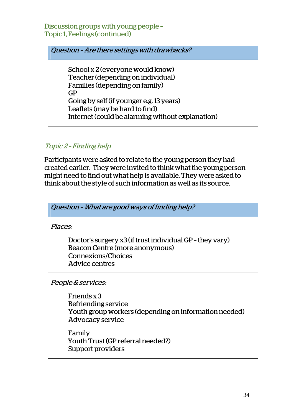Discussion groups with young people – Topic 1, Feelings (continued)

Question – Are there settings with drawbacks?

School x 2 (everyone would know) Teacher (depending on individual) Families (depending on family) GP Going by self (if younger e.g. 13 years) Leaflets (may be hard to find) Internet (could be alarming without explanation)

Topic 2 – Finding help

Participants were asked to relate to the young person they had created earlier. They were invited to think what the young person might need to find out what help is available. They were asked to think about the style of such information as well as its source.

| Question - What are good ways of finding help?                                                                                     |  |
|------------------------------------------------------------------------------------------------------------------------------------|--|
| Places:                                                                                                                            |  |
| Doctor's surgery x3 (if trust individual GP - they vary)<br>Beacon Centre (more anonymous)<br>Connexions/Choices<br>Advice centres |  |
| <i>People &amp; services:</i>                                                                                                      |  |
| Friends x 3<br>Befriending service<br>Youth group workers (depending on information needed)<br><b>Advocacy service</b>             |  |

Family Youth Trust (GP referral needed?) Support providers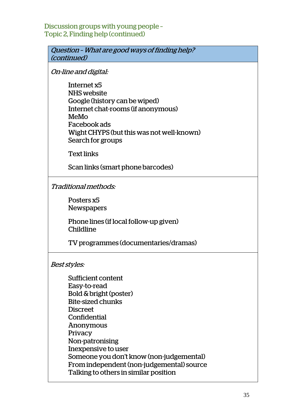Discussion groups with young people – Topic 2, Finding help (continued)

Question – What are good ways of finding help? (continued)

On-line and digital:

Internet x5 NHS website Google (history can be wiped) Internet chat-rooms (if anonymous) MeMo Facebook ads Wight CHYPS (but this was not well-known) Search for groups

Text links

Scan links (smart phone barcodes)

Traditional methods:

Posters x5 Newspapers

Phone lines (if local follow-up given) Childline

TV programmes (documentaries/dramas)

Best styles:

Sufficient content Easy-to-read Bold & bright (poster) Bite-sized chunks Discreet Confidential Anonymous Privacy Non-patronising Inexpensive to user Someone you don't know (non-judgemental) From independent (non-judgemental) source Talking to others in similar position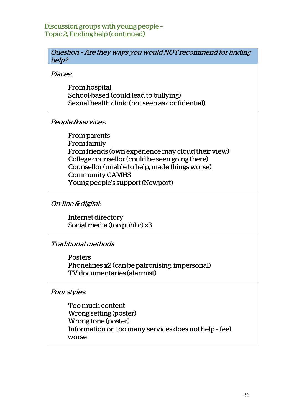Discussion groups with young people – Topic 2, Finding help (continued)

| Question - Are they ways you would NOT recommend for finding |
|--------------------------------------------------------------|
| help?                                                        |
|                                                              |
| Places:                                                      |
| From hospital                                                |
| School-based (could lead to bullying)                        |
| Sexual health clinic (not seen as confidential)              |
|                                                              |
| <i>People &amp; services:</i>                                |
| From parents                                                 |
| <b>From family</b>                                           |
| From friends (own experience may cloud their view)           |
| College counsellor (could be seen going there)               |
| Counsellor (unable to help, made things worse)               |
|                                                              |
| <b>Community CAMHS</b>                                       |
| Young people's support (Newport)                             |
|                                                              |
| <i>On-line &amp; digital:</i>                                |
| Internet directory                                           |
| Social media (too public) x3                                 |
|                                                              |
| <b>Traditional methods</b>                                   |
| <b>Posters</b>                                               |
| Phonelines x2 (can be patronising, impersonal)               |
| TV documentaries (alarmist)                                  |

Poor styles:

Too much content Wrong setting (poster) Wrong tone (poster) Information on too many services does not help – feel w worse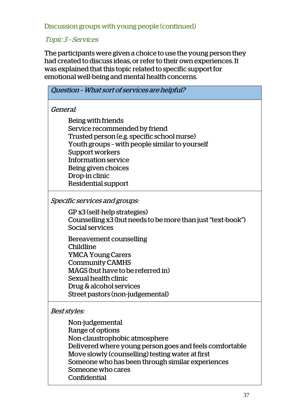Discussion groups with young people (continued)

#### Topic 3 – Services

The participants were given a choice to use the young person they had created to discuss ideas, or refer to their own experiences. It was explained that this topic related to specific support for emotional well-being and mental health concerns.

| Question - What sort of services are helpful?                                                                                                                                                                                                                                |  |
|------------------------------------------------------------------------------------------------------------------------------------------------------------------------------------------------------------------------------------------------------------------------------|--|
| General:                                                                                                                                                                                                                                                                     |  |
| Being with friends<br>Service recommended by friend<br>Trusted person (e.g. specific school nurse)<br>Youth groups - with people similar to yourself<br>Support workers<br>Information service<br>Being given choices<br>Drop-in clinic<br>Residential support               |  |
| Specific services and groups:                                                                                                                                                                                                                                                |  |
| GP x3 (self-help strategies)<br>Counselling x3 (but needs to be more than just "text-book")<br>Social services                                                                                                                                                               |  |
| Bereavement counselling<br>Childline<br><b>YMCA Young Carers</b><br><b>Community CAMHS</b><br>MAGS (but have to be referred in)<br>Sexual health clinic<br>Drug & alcohol services<br>Street pastors (non-judgemental)                                                       |  |
| Best styles:                                                                                                                                                                                                                                                                 |  |
| Non-judgemental<br>Range of options<br>Non-claustrophobic atmosphere<br>Delivered where young person goes and feels comfortable<br>Move slowly (counselling) testing water at first<br>Someone who has been through similar experiences<br>Someone who cares<br>Confidential |  |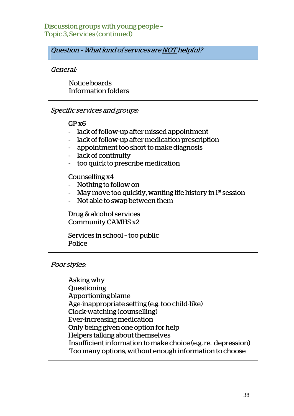#### Discussion groups with young people – Topic 3, Services (continued)

Question – What kind of services are NOT helpful?

General:

 Notice boards Information folders

Specific services and groups:

GP x6

- lack of follow-up after missed appointment
- lack of follow-up after medication prescription
- appointment too short to make diagnosis
- lack of continuity
- too quick to prescribe medication

#### Counselling x4

- Nothing to follow on
- May move too quickly, wanting life history in  $1<sup>st</sup>$  session
- Not able to swap between them

Drug & alcohol services Community CAMHS x2

Services in school – too public Police

Poor styles:

Asking why Questioning Apportioning blame Age-inappropriate setting (e.g. too child-like) Clock-watching (counselling) Ever-increasing medication Only being given one option for help Helpers talking about themselves Insufficient information to make choice (e.g. re. depression) Too many options, without enough information to choose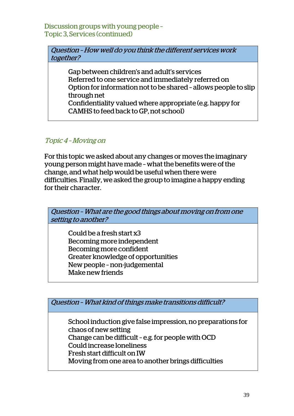Discussion groups with young people – Topic 3, Services (continued)

Question – How well do you think the different services work together?

Gap between children's and adult's services Referred to one service and immediately referred on Option for information not to be shared – allows people to slip through net Confidentiality valued where appropriate (e.g. happy for

CAMHS to feed back to GP, not school)

#### Topic 4 – Moving on

For this topic we asked about any changes or moves the imaginary young person might have made – what the benefits were of the change, and what help would be useful when there were difficulties. Finally, we asked the group to imagine a happy ending for their character.



Becoming more confident Greater knowledge of opportunities

New people – non-judgemental

Make new friends

Question – What kind of things make transitions difficult?

School induction give false impression, no preparations for chaos of new setting Change can be difficult – e.g. for people with OCD Could increase loneliness Fresh start difficult on IW Moving from one area to another brings difficulties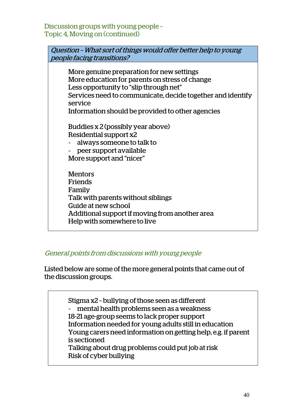Discussion groups with young people – Topic 4, Moving on (continued)

| Question - What sort of things would offer better help to young<br>people facing transitions?                                                                                                                                                                      |
|--------------------------------------------------------------------------------------------------------------------------------------------------------------------------------------------------------------------------------------------------------------------|
| More genuine preparation for new settings<br>More education for parents on stress of change<br>Less opportunity to "slip through net"<br>Services need to communicate, decide together and identify<br>service<br>Information should be provided to other agencies |
| Buddies x 2 (possibly year above)<br>Residential support x2<br>always someone to talk to<br>peer support available<br>More support and "nicer"                                                                                                                     |
| <b>Mentors</b><br>Friends<br>Family<br>Talk with parents without siblings<br>Guide at new school<br>Additional support if moving from another area<br>Help with somewhere to live                                                                                  |
|                                                                                                                                                                                                                                                                    |

#### General points from discussions with young people

Listed below are some of the more general points that came out of the discussion groups.

> Stigma x2 – bullying of those seen as different - mental health problems seen as a weakness 18-21 age-group seems to lack proper support Information needed for young adults still in education Young carers need information on getting help, e.g. if parent is sectioned Talking about drug problems could put job at risk Risk of cyber bullying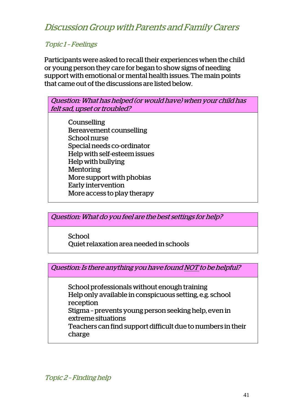Discussion Group with Parents and Family Carers

#### Topic 1 – Feelings

Participants were asked to recall their experiences when the child or young person they care for began to show signs of needing support with emotional or mental health issues. The main points that came out of the discussions are listed below.



Question: What do you feel are the best settings for help?

School Quiet relaxation area needed in schools

Question: Is there anything you have found NOT to be helpful?

School professionals without enough training Help only available in conspicuous setting, e.g. school reception Stigma – prevents young person seeking help, even in extreme situations Teachers can find support difficult due to numbers in their charge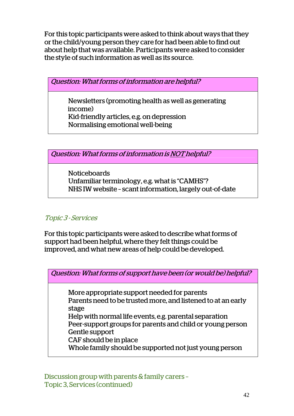For this topic participants were asked to think about ways that they or the child/young person they care for had been able to find out about help that was available. Participants were asked to consider the style of such information as well as its source.

Question: What forms of information are helpful?

Newsletters (promoting health as well as generating income) Kid-friendly articles, e.g. on depression Normalising emotional well-being

Question: What forms of information is NOT helpful?

Noticeboards Unfamiliar terminology, e.g. what is "CAMHS"? NHS IW website – scant information, largely out-of-date

#### Topic 3 - Services

For this topic participants were asked to describe what forms of support had been helpful, where they felt things could be improved, and what new areas of help could be developed.

Question: What forms of support have been (or would be) helpful? More appropriate support needed for parents Parents need to be trusted more, and listened to at an early stage Help with normal life events, e.g. parental separation Peer-support groups for parents and child or young person Gentle support CAF should be in place Whole family should be supported not just young person

Discussion group with parents & family carers – Topic 3, Services (continued)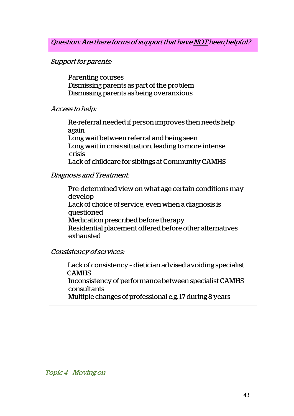Question: Are there forms of support that have NOT been helpful?

Support for parents:

Parenting courses Dismissing parents as part of the problem Dismissing parents as being overanxious

Access to help:

Re-referral needed if person improves then needs help …………..again

Long wait between referral and being seen Long wait in crisis situation, leading to more intense ……………crisis

Lack of childcare for siblings at Community CAMHS

Diagnosis and Treatment:

Pre-determined view on what age certain conditions may develop Lack of choice of service, even when a diagnosis is questioned Medication prescribed before therapy Residential placement offered before other alternatives exhausted

Consistency of services:

 Lack of consistency – dietician advised avoiding specialist **CAMHS** Inconsistency of performance between specialist CAMHS consultants Multiple changes of professional e.g. 17 during 8 years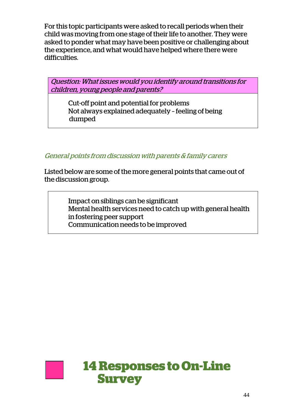For this topic participants were asked to recall periods when their child was moving from one stage of their life to another. They were asked to ponder what may have been positive or challenging about the experience, and what would have helped where there were difficulties.

Question: What issues would you identify around transitions for children, young people and parents?

Cut-off point and potential for problems Not always explained adequately – feeling of being dumped

General points from discussion with parents & family carers

Listed below are some of the more general points that came out of the discussion group.

> Impact on siblings can be significant Mental health services need to catch up with general health in fostering peer support Communication needs to be improved

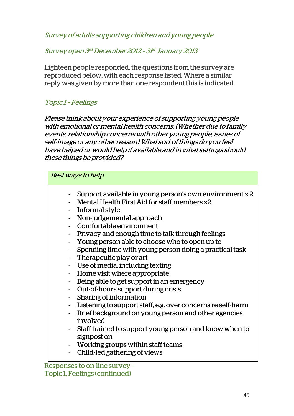Survey of adults supporting children and young people

Survey open 3rd December 2012 – 31st January 2013

Eighteen people responded, the questions from the survey are reproduced below, with each response listed. Where a similar reply was given by more than one respondent this is indicated.

#### Topic 1 – Feelings

Please think about your experience of supporting young people with emotional or mental health concerns. (Whether due to family events, relationship concerns with other young people, issues of self-image or any other reason) What sort of things do you feel have helped or would help if available and in what settings should these things be provided?

| <b>Best ways to help</b> |                                                                                                                                                                                                                                                                                                                                                                                                                                                                                                                                                                                                                                                                                                |
|--------------------------|------------------------------------------------------------------------------------------------------------------------------------------------------------------------------------------------------------------------------------------------------------------------------------------------------------------------------------------------------------------------------------------------------------------------------------------------------------------------------------------------------------------------------------------------------------------------------------------------------------------------------------------------------------------------------------------------|
| $\blacksquare$           | Support available in young person's own environment x 2<br>Mental Health First Aid for staff members x2<br>Informal style<br>Non-judgemental approach<br>Comfortable environment<br>Privacy and enough time to talk through feelings<br>Young person able to choose who to open up to<br>Spending time with young person doing a practical task<br>Therapeutic play or art<br>- Use of media, including texting<br>Home visit where appropriate<br>Being able to get support in an emergency<br>Out-of-hours support during crisis<br>Sharing of information<br>Listening to support staff, e.g. over concerns re self-harm<br>Brief background on young person and other agencies<br>involved |
|                          | Staff trained to support young person and know when to<br>signpost on                                                                                                                                                                                                                                                                                                                                                                                                                                                                                                                                                                                                                          |
|                          | Working groups within staff teams                                                                                                                                                                                                                                                                                                                                                                                                                                                                                                                                                                                                                                                              |
|                          | Child-led gathering of views                                                                                                                                                                                                                                                                                                                                                                                                                                                                                                                                                                                                                                                                   |

Responses to on-line survey – Topic 1, Feelings (continued)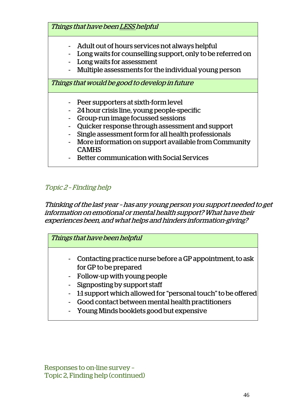Things that have been LESS helpful

- Adult out of hours services not always helpful
- Long waits for counselling support, only to be referred on
- Long waits for assessment
- Multiple assessments for the individual young person

Things that would be good to develop in future

- Peer supporters at sixth-form level
- 24 hour crisis line, young people-specific
- Group-run image focussed sessions
- Quicker response through assessment and support
- Single assessment form for all health professionals
- More information on support available from Community CAMHS
- Better communication with Social Services

#### Topic 2 – Finding help

Thinking of the last year – has any young person you support needed to get information on emotional or mental health support? What have their experiences been, and what helps and hinders information-giving?

Things that have been helpful

- Contacting practice nurse before a GP appointment, to ask for GP to be prepared
- Follow-up with young people
- Signposting by support staff
- 1:1 support which allowed for "personal touch" to be offered
- Good contact between mental health practitioners
- Young Minds booklets good but expensive

Responses to on-line survey – Topic 2, Finding help (continued)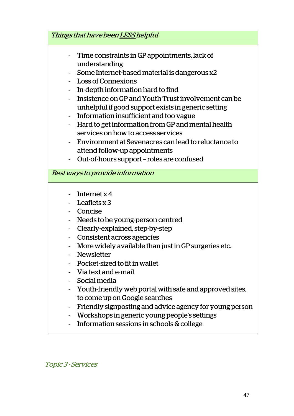| Things that have been LESS helpful |                                                                                                                                                                                                                                                                                                                                                                                                                                                                                                                            |
|------------------------------------|----------------------------------------------------------------------------------------------------------------------------------------------------------------------------------------------------------------------------------------------------------------------------------------------------------------------------------------------------------------------------------------------------------------------------------------------------------------------------------------------------------------------------|
|                                    | Time constraints in GP appointments, lack of<br>understanding<br>Some Internet-based material is dangerous x2<br><b>Loss of Connexions</b><br>In-depth information hard to find<br>Insistence on GP and Youth Trust involvement can be<br>unhelpful if good support exists in generic setting<br>Information insufficient and too vague<br>Hard to get information from GP and mental health<br>services on how to access services<br>Environment at Sevenacres can lead to reluctance to<br>attend follow-up appointments |
|                                    | Out-of-hours support - roles are confused                                                                                                                                                                                                                                                                                                                                                                                                                                                                                  |
|                                    | Best ways to provide information                                                                                                                                                                                                                                                                                                                                                                                                                                                                                           |
|                                    | Internet $x$ 4<br>Leaflets $x$ 3<br>Concise<br>Needs to be young-person centred<br>Clearly-explained, step-by-step<br>Consistent across agencies<br>More widely available than just in GP surgeries etc.<br><b>Newsletter</b><br>Pocket-sized to fit in wallet<br>Via text and e-mail<br>Social media                                                                                                                                                                                                                      |
|                                    | Youth-friendly web portal with safe and approved sites,<br>to come up on Google searches<br>Friendly signposting and advice agency for young person<br>Workshops in generic young people's settings<br>Information sessions in schools & college                                                                                                                                                                                                                                                                           |

Topic 3 - Services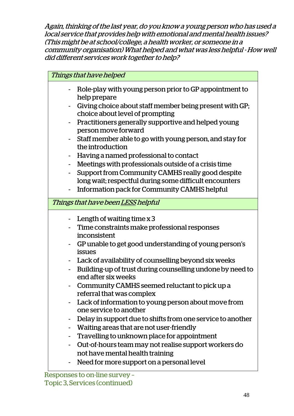Again, thinking of the last year, do you know a young person who has used a local service that provides help with emotional and mental health issues? (This might be at school/college, a health worker, or someone in a community organisation) What helped and what was less helpful - How well did different services work together to help?

| Things that have helped                                                                    |
|--------------------------------------------------------------------------------------------|
| Role-play with young person prior to GP appointment to<br>help prepare                     |
| Giving choice about staff member being present with GP;<br>choice about level of prompting |
| Practitioners generally supportive and helped young<br>person move forward                 |
| Staff member able to go with young person, and stay for<br>the introduction                |
| Having a named professional to contact                                                     |
| Meetings with professionals outside of a crisis time<br>$\blacksquare$                     |
| Support from Community CAMHS really good despite                                           |
| long wait; respectful during some difficult encounters                                     |
| Information pack for Community CAMHS helpful                                               |
| Things that have been LESS helpful                                                         |
| Length of waiting time $x$ 3                                                               |
| Time constraints make professional responses                                               |
| inconsistent                                                                               |
| GP unable to get good understanding of young person's<br>issues                            |
| Lack of availability of counselling beyond six weeks                                       |
| Building-up of trust during counselling undone by need to<br>end after six weeks           |
| Community CAMHS seemed reluctant to pick up a<br>referral that was complex                 |
| Lack of information to young person about move from<br>one service to another              |
| Delay in support due to shifts from one service to another                                 |
| Waiting areas that are not user-friendly                                                   |
| Travelling to unknown place for appointment                                                |
| Out-of-hours team may not realise support workers do                                       |
| not have mental health training                                                            |
| Need for more support on a personal level                                                  |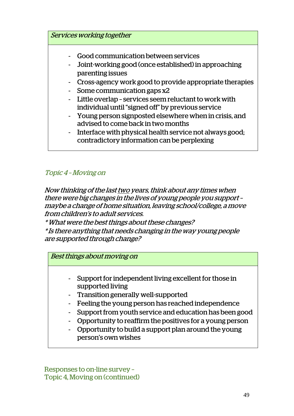

#### Topic 4 – Moving on

Now thinking of the last two years, think about any times when there were big changes in the lives of young people you support – maybe a change of home situation, leaving school/college, a move from children's to adult services.

\* What were the best things about these changes?

\* Is there anything that needs changing in the way young people are supported through change?

Best things about moving on

- Support for independent living excellent for those in supported living
- Transition generally well-supported
- Feeling the young person has reached independence
- Support from youth service and education has been good
- Opportunity to reaffirm the positives for a young person
- Opportunity to build a support plan around the young person's own wishes

Responses to on-line survey – Topic 4, Moving on (continued)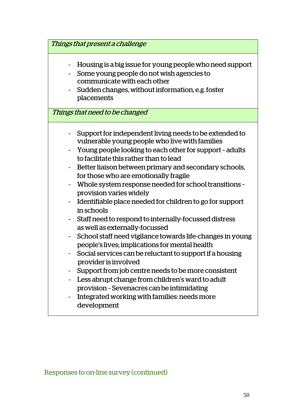|   | Things that present a challenge                                                                                                                                                                                                                                                                                                                                                                                                                                                                                                                                                                                                                                                                                                                                                                                                                                                                                                                                                                     |
|---|-----------------------------------------------------------------------------------------------------------------------------------------------------------------------------------------------------------------------------------------------------------------------------------------------------------------------------------------------------------------------------------------------------------------------------------------------------------------------------------------------------------------------------------------------------------------------------------------------------------------------------------------------------------------------------------------------------------------------------------------------------------------------------------------------------------------------------------------------------------------------------------------------------------------------------------------------------------------------------------------------------|
|   | Housing is a big issue for young people who need support<br>Some young people do not wish agencies to<br>communicate with each other<br>Sudden changes, without information, e.g. foster<br>placements<br>Things that need to be changed                                                                                                                                                                                                                                                                                                                                                                                                                                                                                                                                                                                                                                                                                                                                                            |
|   |                                                                                                                                                                                                                                                                                                                                                                                                                                                                                                                                                                                                                                                                                                                                                                                                                                                                                                                                                                                                     |
| ٠ | Support for independent living needs to be extended to<br>vulnerable young people who live with families<br>Young people looking to each other for support - adults<br>to facilitate this rather than to lead<br>Better liaison between primary and secondary schools,<br>for those who are emotionally fragile<br>Whole system response needed for school transitions -<br>provision varies widely<br>Identifiable place needed for children to go for support<br>in schools<br>Staff need to respond to internally-focussed distress<br>as well as externally-focussed<br>School staff need vigilance towards life-changes in young<br>people's lives; implications for mental health<br>Social services can be reluctant to support if a housing<br>provider is involved<br>Support from job centre needs to be more consistent<br>Less abrupt change from children's ward to adult<br>provision - Sevenacres can be intimidating<br>Integrated working with families: needs more<br>development |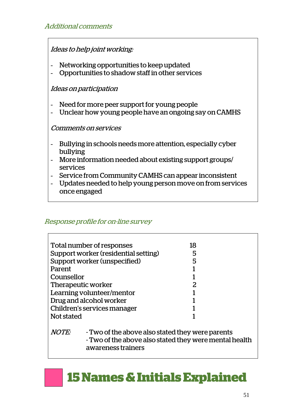#### Ideas to help joint working:

- Networking opportunities to keep updated
- Opportunities to shadow staff in other services

#### Ideas on participation

- Need for more peer support for young people
- Unclear how young people have an ongoing say on CAMHS

#### Comments on services

- Bullying in schools needs more attention, especially cyber bullying
- More information needed about existing support groups/ services
- Service from Community CAMHS can appear inconsistent
- Updates needed to help young person move on from services once engaged

#### Response profile for on-line survey

 $\overline{\phantom{a}}$ 

|                             | Total number of responses                              | 18 |  |
|-----------------------------|--------------------------------------------------------|----|--|
|                             | Support worker (residential setting)                   | 5  |  |
|                             | Support worker (unspecified)                           | 5  |  |
| Parent                      |                                                        |    |  |
| Counsellor                  |                                                        |    |  |
| Therapeutic worker          |                                                        | 2  |  |
| Learning volunteer/mentor   |                                                        |    |  |
| Drug and alcohol worker     |                                                        |    |  |
| Children's services manager |                                                        |    |  |
| Not stated                  |                                                        |    |  |
|                             |                                                        |    |  |
| <b>NOTE:</b>                | - Two of the above also stated they were parents       |    |  |
|                             | - Two of the above also stated they were mental health |    |  |
|                             | awareness trainers                                     |    |  |

# **15 Names & Initials Explained**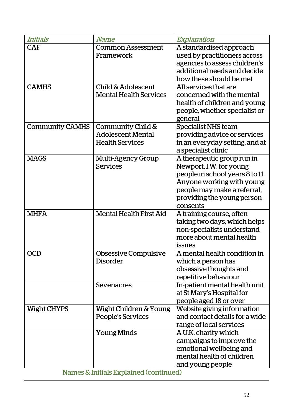| Initials               | <i>Name</i>                    | Explanation                                                  |
|------------------------|--------------------------------|--------------------------------------------------------------|
| <b>CAF</b>             | <b>Common Assessment</b>       | A standardised approach                                      |
|                        | Framework                      | used by practitioners across                                 |
|                        |                                | agencies to assess children's                                |
|                        |                                | additional needs and decide                                  |
|                        |                                | how these should be met                                      |
| <b>CAMHS</b>           | Child & Adolescent             | All services that are                                        |
|                        | <b>Mental Health Services</b>  | concerned with the mental                                    |
|                        |                                | health of children and young                                 |
|                        |                                | people, whether specialist or                                |
|                        |                                | general                                                      |
| <b>Community CAMHS</b> | Community Child &              | Specialist NHS team                                          |
|                        | <b>Adolescent Mental</b>       | providing advice or services                                 |
|                        | <b>Health Services</b>         | in an everyday setting, and at                               |
|                        |                                | a specialist clinic                                          |
| <b>MAGS</b>            | Multi-Agency Group             | A therapeutic group run in                                   |
|                        | <b>Services</b>                | Newport, I.W. for young                                      |
|                        |                                | people in school years 8 to 11.                              |
|                        |                                | Anyone working with young                                    |
|                        |                                | people may make a referral,                                  |
|                        |                                | providing the young person                                   |
|                        |                                | consents                                                     |
| <b>MHFA</b>            | <b>Mental Health First Aid</b> | A training course, often                                     |
|                        |                                | taking two days, which helps                                 |
|                        |                                | non-specialists understand                                   |
|                        |                                | more about mental health                                     |
|                        |                                | issues                                                       |
| <b>OCD</b>             | Obsessive Compulsive           | A mental health condition in                                 |
|                        | <b>Disorder</b>                | which a person has                                           |
|                        |                                | obsessive thoughts and                                       |
|                        |                                | repetitive behaviour                                         |
|                        | Sevenacres                     | In-patient mental health unit                                |
|                        |                                | at St Mary's Hospital for                                    |
|                        |                                | people aged 18 or over                                       |
| <b>Wight CHYPS</b>     | Wight Children & Young         | Website giving information<br>and contact details for a wide |
|                        | People's Services              |                                                              |
|                        |                                | range of local services                                      |
|                        | <b>Young Minds</b>             | A U.K. charity which                                         |
|                        |                                | campaigns to improve the                                     |
|                        |                                | emotional wellbeing and<br>mental health of children         |
|                        |                                |                                                              |
|                        |                                | and young people                                             |

Names & Initials Explained (continued)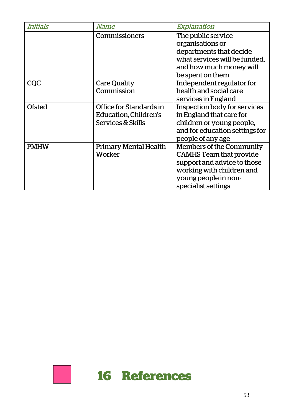| Initials      | <i>Name</i>                  | Explanation                     |
|---------------|------------------------------|---------------------------------|
|               | Commissioners                | The public service              |
|               |                              | organisations or                |
|               |                              | departments that decide         |
|               |                              | what services will be funded.   |
|               |                              | and how much money will         |
|               |                              | be spent on them                |
| <b>CQC</b>    | <b>Care Quality</b>          | Independent regulator for       |
|               | Commission                   | health and social care          |
|               |                              | services in England             |
| <b>Ofsted</b> | Office for Standards in      | Inspection body for services    |
|               | Education, Children's        | in England that care for        |
|               | Services & Skills            | children or young people,       |
|               |                              | and for education settings for  |
|               |                              | people of any age               |
| <b>PMHW</b>   | <b>Primary Mental Health</b> | <b>Members of the Community</b> |
|               | Worker                       | <b>CAMHS</b> Team that provide  |
|               |                              | support and advice to those     |
|               |                              | working with children and       |
|               |                              | young people in non-            |
|               |                              | specialist settings             |

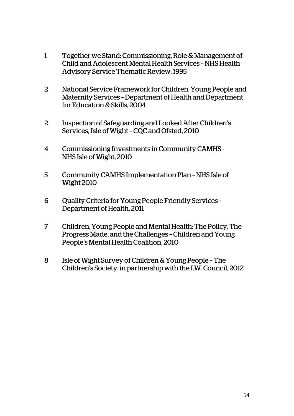- 1 Together we Stand: Commissioning, Role & Management of Child and Adolescent Mental Health Services – NHS Health Advisory Service Thematic Review, 1995
- 2 National Service Framework for Children, Young People and Maternity Services – Department of Health and Department for Education & Skills, 2004
- 2 Inspection of Safeguarding and Looked After Children's Services, Isle of Wight – CQC and Ofsted, 2010
- 4 Commissioning Investments in Community CAMHS NHS Isle of Wight, 2010
- 5 Community CAMHS Implementation Plan NHS Isle of Wight 2010
- 6 Quality Criteria for Young People Friendly Services Department of Health, 2011
- 7 Children, Young People and Mental Health: The Policy, The Progress Made, and the Challenges – Children and Young People's Mental Health Coalition, 2010
- 8 Isle of Wight Survey of Children & Young People The Children's Society, in partnership with the I.W. Council, 2012